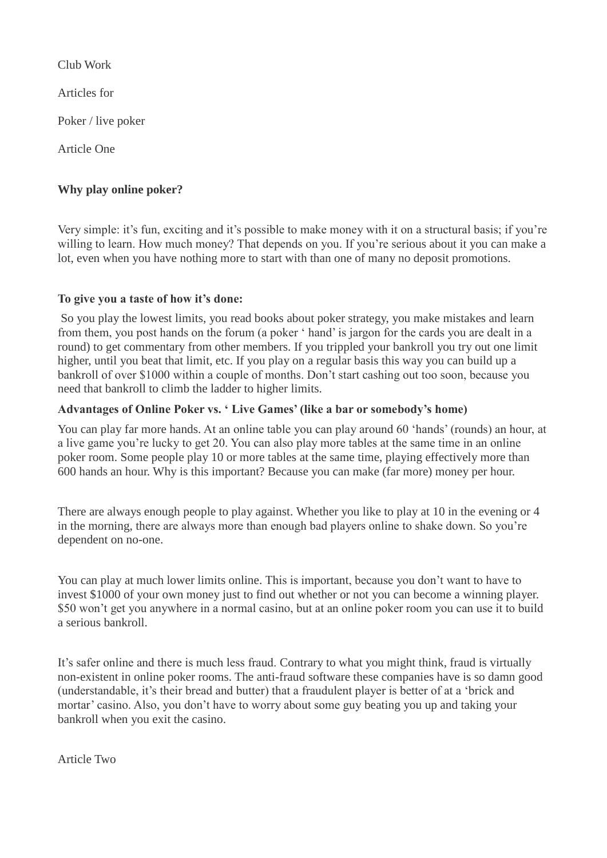Club Work

Articles for

Poker / live poker

Article One

# **Why play online poker?**

Very simple: it's fun, exciting and it's possible to make money with it on a structural basis; if you're willing to learn. How much money? That depends on you. If you're serious about it you can make a lot, even when you have nothing more to start with than one of many no deposit promotions.

### **To give you a taste of how it's done:**

So you play the lowest limits, you read books about poker strategy, you make mistakes and learn from them, you post hands on the forum (a poker ' hand' is jargon for the cards you are dealt in a round) to get commentary from other members. If you trippled your bankroll you try out one limit higher, until you beat that limit, etc. If you play on a regular basis this way you can build up a bankroll of over \$1000 within a couple of months. Don't start cashing out too soon, because you need that bankroll to climb the ladder to higher limits.

### **Advantages of Online Poker vs. ' Live Games' (like a bar or somebody's home)**

You can play far more hands. At an online table you can play around 60 'hands' (rounds) an hour, at a live game you're lucky to get 20. You can also play more tables at the same time in an online poker room. Some people play 10 or more tables at the same time, playing effectively more than 600 hands an hour. Why is this important? Because you can make (far more) money per hour.

There are always enough people to play against. Whether you like to play at 10 in the evening or 4 in the morning, there are always more than enough bad players online to shake down. So you're dependent on no-one.

You can play at much lower limits online. This is important, because you don't want to have to invest \$1000 of your own money just to find out whether or not you can become a winning player. \$50 won't get you anywhere in a normal casino, but at an online poker room you can use it to build a serious bankroll.

It's safer online and there is much less fraud. Contrary to what you might think, fraud is virtually non-existent in online poker rooms. The anti-fraud software these companies have is so damn good (understandable, it's their bread and butter) that a fraudulent player is better of at a 'brick and mortar' casino. Also, you don't have to worry about some guy beating you up and taking your bankroll when you exit the casino.

Article Two